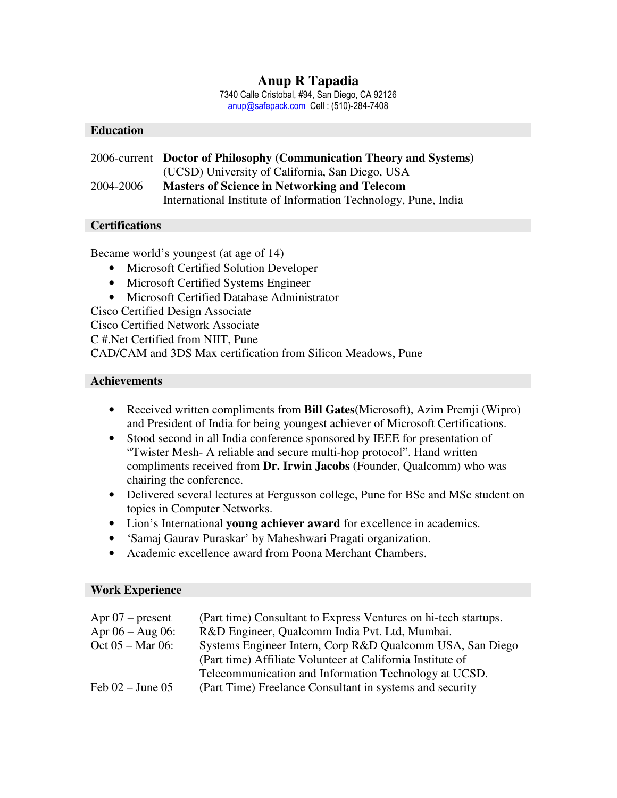# **Anup R Tapadia**

7340 Calle Cristobal, #94, San Diego, CA 92126 anup@safepack.com Cell : (510)-284-7408

## **Education**

|           | 2006-current Doctor of Philosophy (Communication Theory and Systems) |
|-----------|----------------------------------------------------------------------|
|           | (UCSD) University of California, San Diego, USA                      |
| 2004-2006 | <b>Masters of Science in Networking and Telecom</b>                  |
|           | International Institute of Information Technology, Pune, India       |

## **Certifications**

Became world's youngest (at age of 14)

- Microsoft Certified Solution Developer
- Microsoft Certified Systems Engineer
- Microsoft Certified Database Administrator

Cisco Certified Design Associate

Cisco Certified Network Associate

C #.Net Certified from NIIT, Pune

CAD/CAM and 3DS Max certification from Silicon Meadows, Pune

### **Achievements**

- Received written compliments from **Bill Gates**(Microsoft), Azim Premji (Wipro) and President of India for being youngest achiever of Microsoft Certifications.
- Stood second in all India conference sponsored by IEEE for presentation of "Twister Mesh- A reliable and secure multi-hop protocol". Hand written compliments received from **Dr. Irwin Jacobs** (Founder, Qualcomm) who was chairing the conference.
- Delivered several lectures at Fergusson college, Pune for BSc and MSc student on topics in Computer Networks.
- Lion's International **young achiever award** for excellence in academics.
- 'Samaj Gaurav Puraskar' by Maheshwari Pragati organization.
- Academic excellence award from Poona Merchant Chambers.

#### **Work Experience**

| Apr $07$ – present   | (Part time) Consultant to Express Ventures on hi-tech startups. |
|----------------------|-----------------------------------------------------------------|
| Apr $06 - Aug 06$ :  | R&D Engineer, Qualcomm India Pvt. Ltd, Mumbai.                  |
| $Oct 05 - Mar 06:$   | Systems Engineer Intern, Corp R&D Qualcomm USA, San Diego       |
|                      | (Part time) Affiliate Volunteer at California Institute of      |
|                      | Telecommunication and Information Technology at UCSD.           |
| Feb $02 -$ June $05$ | (Part Time) Freelance Consultant in systems and security        |
|                      |                                                                 |